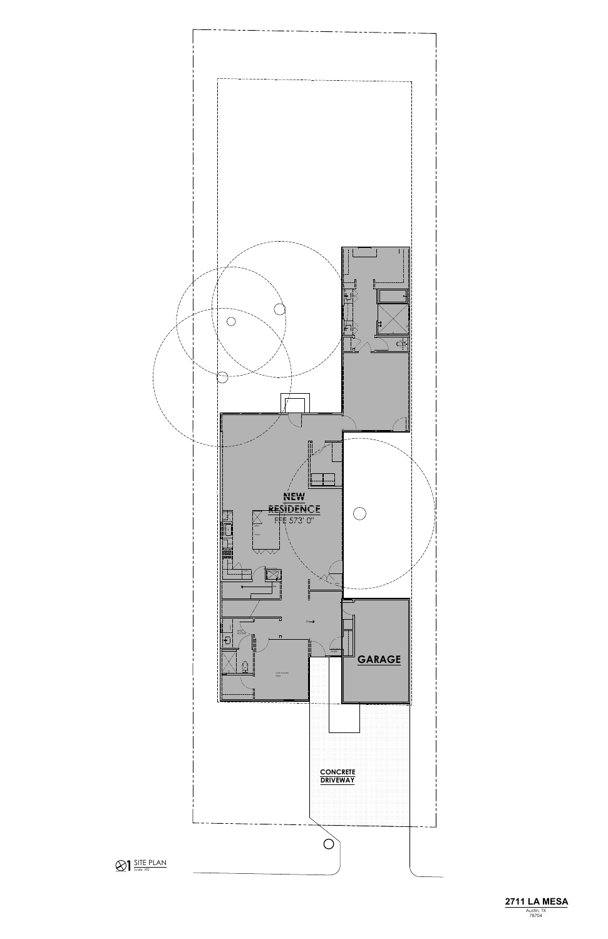

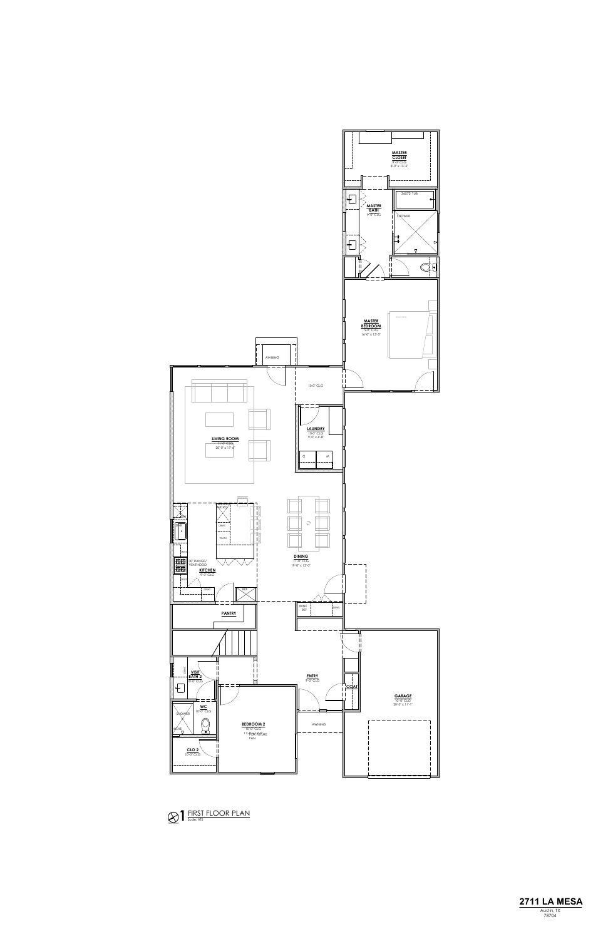



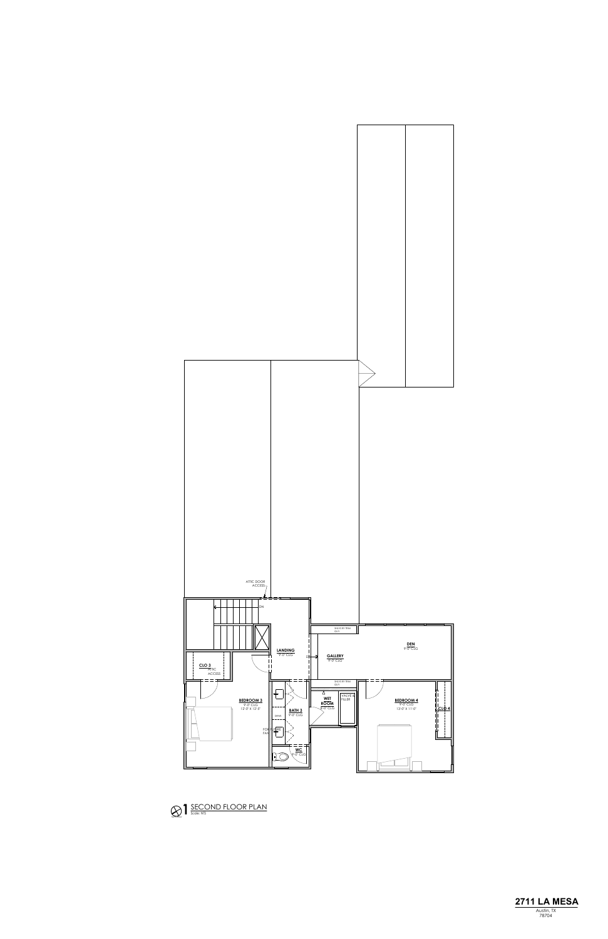